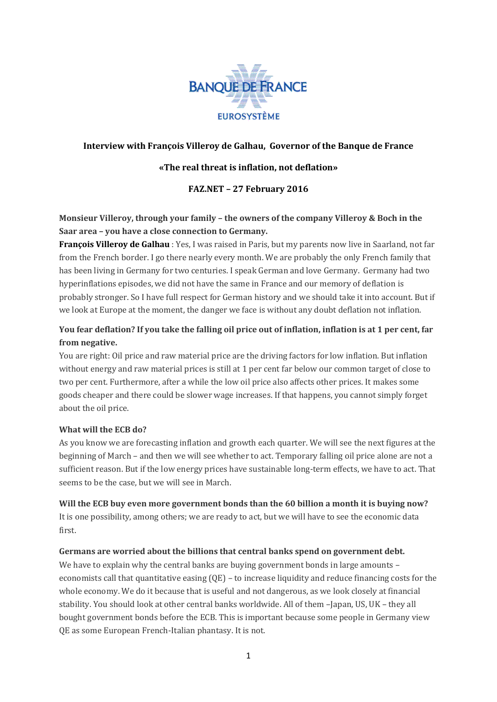

## **Interview with François Villeroy de Galhau, Governor of the Banque de France**

## **«The real threat is inflation, not deflation»**

## **FAZ.NET – 27 February 2016**

# **Monsieur Villeroy, through your family – the owners of the company Villeroy & Boch in the Saar area – you have a close connection to Germany.**

**François Villeroy de Galhau** : Yes, I was raised in Paris, but my parents now live in Saarland, not far from the French border. I go there nearly every month. We are probably the only French family that has been living in Germany for two centuries. I speak German and love Germany. Germany had two hyperinflations episodes, we did not have the same in France and our memory of deflation is probably stronger. So I have full respect for German history and we should take it into account. But if we look at Europe at the moment, the danger we face is without any doubt deflation not inflation.

## **You fear deflation? If you take the falling oil price out of inflation, inflation is at 1 per cent, far from negative.**

You are right: Oil price and raw material price are the driving factors for low inflation. But inflation without energy and raw material prices is still at 1 per cent far below our common target of close to two per cent. Furthermore, after a while the low oil price also affects other prices. It makes some goods cheaper and there could be slower wage increases. If that happens, you cannot simply forget about the oil price.

#### **What will the ECB do?**

As you know we are forecasting inflation and growth each quarter. We will see the next figures at the beginning of March – and then we will see whether to act. Temporary falling oil price alone are not a sufficient reason. But if the low energy prices have sustainable long-term effects, we have to act. That seems to be the case, but we will see in March.

#### **Will the ECB buy even more government bonds than the 60 billion a month it is buying now?**

It is one possibility, among others; we are ready to act, but we will have to see the economic data first.

#### **Germans are worried about the billions that central banks spend on government debt.**

We have to explain why the central banks are buying government bonds in large amounts – economists call that quantitative easing (QE) – to increase liquidity and reduce financing costs for the whole economy. We do it because that is useful and not dangerous, as we look closely at financial stability. You should look at other central banks worldwide. All of them –Japan, US, UK – they all bought government bonds before the ECB. This is important because some people in Germany view QE as some European French-Italian phantasy. It is not.